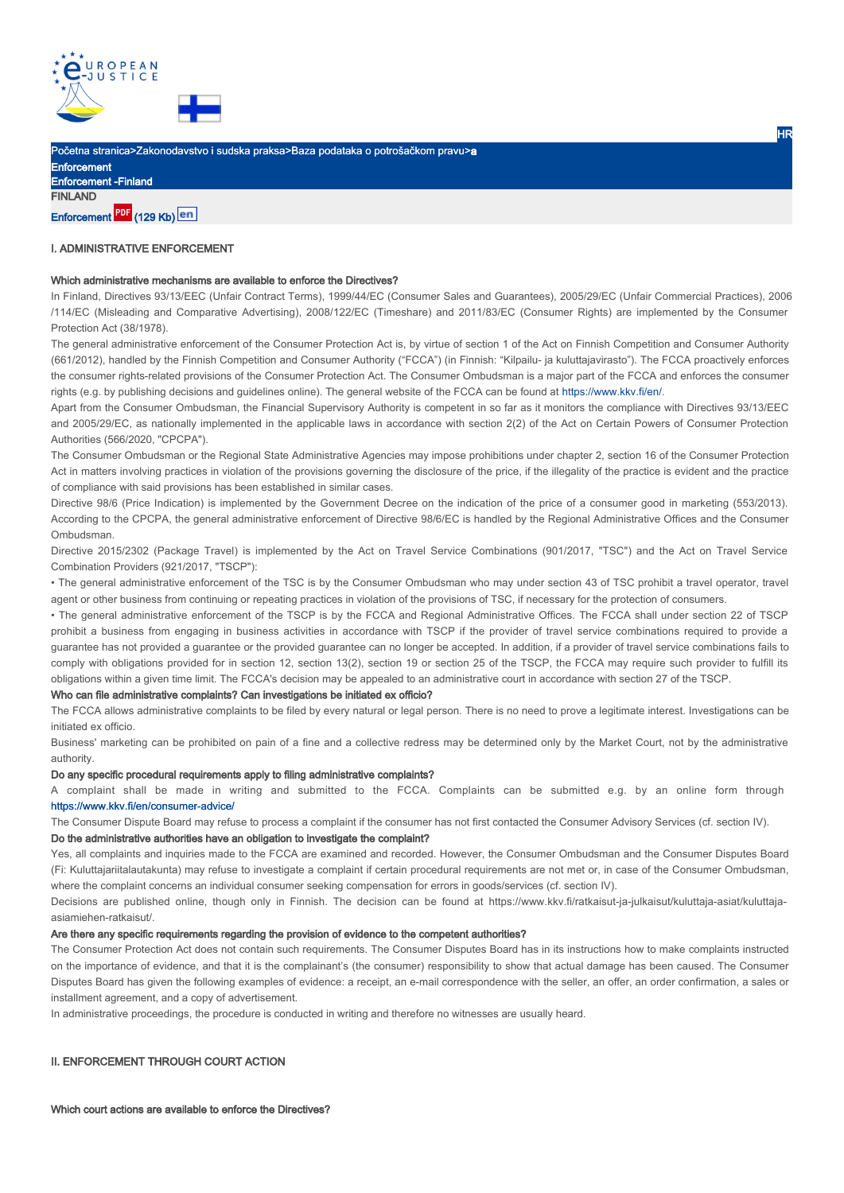

Početna stranica>Zakonodavstvo i sudska praksa>Baza podataka o potrošačkom pravu>a

Enforcement Enforcement -Finland **FINLAND** 

# Enforcement PDF (129 Kb) en

# I. ADMINISTRATIVE ENFORCEMENT

### Which administrative mechanisms are available to enforce the Directives?

In Finland, Directives 93/13/EEC (Unfair Contract Terms), 1999/44/EC (Consumer Sales and Guarantees), 2005/29/EC (Unfair Commercial Practices), 2006 /114/EC (Misleading and Comparative Advertising), 2008/122/EC (Timeshare) and 2011/83/EC (Consumer Rights) are implemented by the Consumer Protection Act (38/1978).

HR

The general administrative enforcement of the Consumer Protection Act is, by virtue of section 1 of the Act on Finnish Competition and Consumer Authority (661/2012), handled by the Finnish Competition and Consumer Authority ("FCCA") (in Finnish: "Kilpailu- ja kuluttajavirasto"). The FCCA proactively enforces the consumer rights-related provisions of the Consumer Protection Act. The Consumer Ombudsman is a major part of the FCCA and enforces the consumer rights (e.g. by publishing decisions and guidelines online). The general website of the FCCA can be found at https://www.kkv.fi/en/.

Apart from the Consumer Ombudsman, the Financial Supervisory Authority is competent in so far as it monitors the compliance with Directives 93/13/EEC and 2005/29/EC, as nationally implemented in the applicable laws in accordance with section 2(2) of the Act on Certain Powers of Consumer Protection Authorities (566/2020, "CPCPA").

The Consumer Ombudsman or the Regional State Administrative Agencies may impose prohibitions under chapter 2, section 16 of the Consumer Protection Act in matters involving practices in violation of the provisions governing the disclosure of the price, if the illegality of the practice is evident and the practice of compliance with said provisions has been established in similar cases.

Directive 98/6 (Price Indication) is implemented by the Government Decree on the indication of the price of a consumer good in marketing (553/2013). According to the CPCPA, the general administrative enforcement of Directive 98/6/EC is handled by the Regional Administrative Offices and the Consumer Ombudsman.

Directive 2015/2302 (Package Travel) is implemented by the Act on Travel Service Combinations (901/2017, "TSC") and the Act on Travel Service Combination Providers (921/2017, "TSCP"):

• The general administrative enforcement of the TSC is by the Consumer Ombudsman who may under section 43 of TSC prohibit a travel operator, travel agent or other business from continuing or repeating practices in violation of the provisions of TSC, if necessary for the protection of consumers.

• The general administrative enforcement of the TSCP is by the FCCA and Regional Administrative Offices. The FCCA shall under section 22 of TSCP prohibit a business from engaging in business activities in accordance with TSCP if the provider of travel service combinations required to provide a guarantee has not provided a guarantee or the provided guarantee can no longer be accepted. In addition, if a provider of travel service combinations fails to comply with obligations provided for in section 12, section 13(2), section 19 or section 25 of the TSCP, the FCCA may require such provider to fulfill its obligations within a given time limit. The FCCA's decision may be appealed to an administrative court in accordance with section 27 of the TSCP.

#### Who can file administrative complaints? Can investigations be initiated ex officio?

The FCCA allows administrative complaints to be filed by every natural or legal person. There is no need to prove a legitimate interest. Investigations can be initiated ex officio.

Business' marketing can be prohibited on pain of a fine and a collective redress may be determined only by the Market Court, not by the administrative authority.

### Do any specific procedural requirements apply to filing administrative complaints?

A complaint shall be made in writing and submitted to the FCCA. Complaints can be submitted e.g. by an online form through https://www.kkv.fi/en/consumer-advice/

The Consumer Dispute Board may refuse to process a complaint if the consumer has not first contacted the Consumer Advisory Services (cf. section IV).

### Do the administrative authorities have an obligation to investigate the complaint?

Yes, all complaints and inquiries made to the FCCA are examined and recorded. However, the Consumer Ombudsman and the Consumer Disputes Board (Fi: Kuluttajariitalautakunta) may refuse to investigate a complaint if certain procedural requirements are not met or, in case of the Consumer Ombudsman, where the complaint concerns an individual consumer seeking compensation for errors in goods/services (cf. section IV).

Decisions are published online, though only in Finnish. The decision can be found at https://www.kkv.fi/ratkaisut-ja-julkaisut/kuluttaja-asiat/kuluttajaasiamiehen-ratkaisut/.

### Are there any specific requirements regarding the provision of evidence to the competent authorities?

The Consumer Protection Act does not contain such requirements. The Consumer Disputes Board has in its instructions how to make complaints instructed on the importance of evidence, and that it is the complainant's (the consumer) responsibility to show that actual damage has been caused. The Consumer Disputes Board has given the following examples of evidence: a receipt, an e-mail correspondence with the seller, an offer, an order confirmation, a sales or installment agreement, and a copy of advertisement.

In administrative proceedings, the procedure is conducted in writing and therefore no witnesses are usually heard.

### II. ENFORCEMENT THROUGH COURT ACTION

Which court actions are available to enforce the Directives?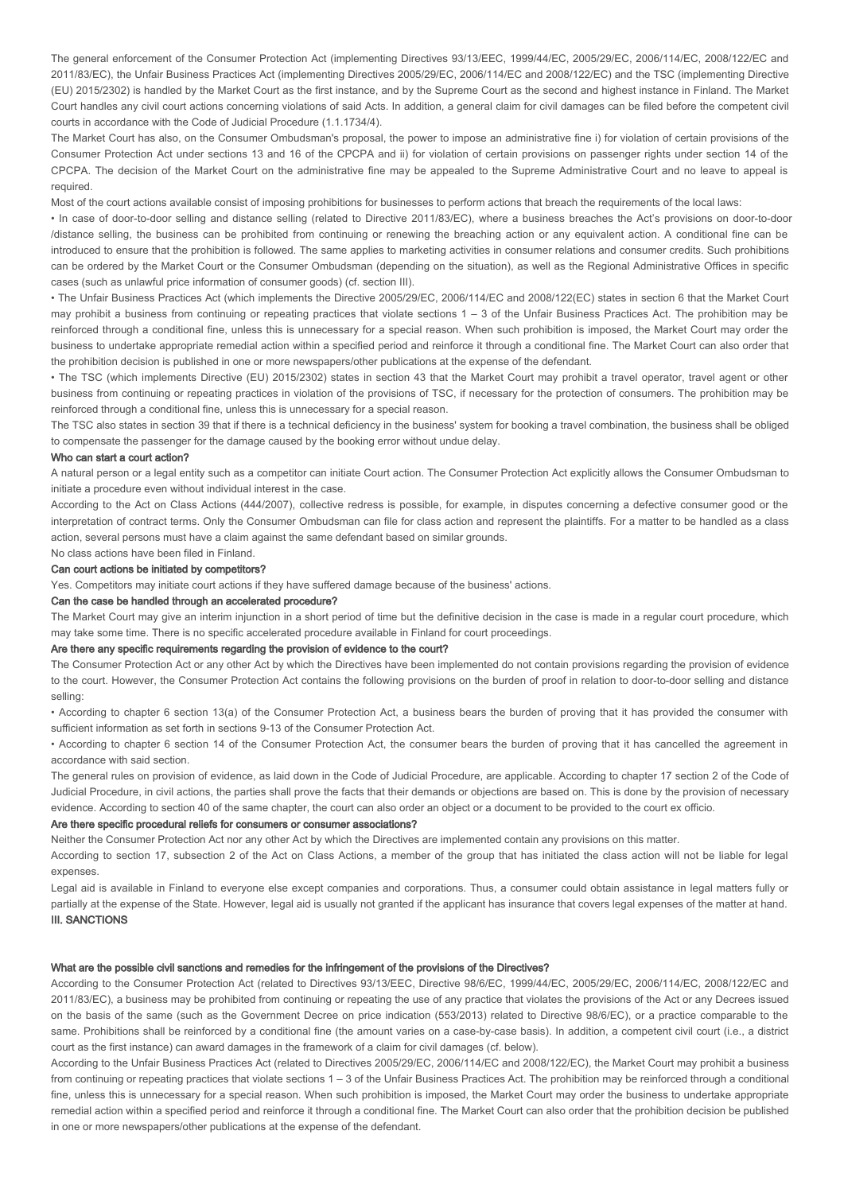The general enforcement of the Consumer Protection Act (implementing Directives 93/13/EEC, 1999/44/EC, 2005/29/EC, 2006/114/EC, 2008/122/EC and 2011/83/EC), the Unfair Business Practices Act (implementing Directives 2005/29/EC, 2006/114/EC and 2008/122/EC) and the TSC (implementing Directive (EU) 2015/2302) is handled by the Market Court as the first instance, and by the Supreme Court as the second and highest instance in Finland. The Market Court handles any civil court actions concerning violations of said Acts. In addition, a general claim for civil damages can be filed before the competent civil courts in accordance with the Code of Judicial Procedure (1.1.1734/4).

The Market Court has also, on the Consumer Ombudsman's proposal, the power to impose an administrative fine i) for violation of certain provisions of the Consumer Protection Act under sections 13 and 16 of the CPCPA and ii) for violation of certain provisions on passenger rights under section 14 of the CPCPA. The decision of the Market Court on the administrative fine may be appealed to the Supreme Administrative Court and no leave to appeal is required.

Most of the court actions available consist of imposing prohibitions for businesses to perform actions that breach the requirements of the local laws:

• In case of door-to-door selling and distance selling (related to Directive 2011/83/EC), where a business breaches the Act's provisions on door-to-door /distance selling, the business can be prohibited from continuing or renewing the breaching action or any equivalent action. A conditional fine can be introduced to ensure that the prohibition is followed. The same applies to marketing activities in consumer relations and consumer credits. Such prohibitions can be ordered by the Market Court or the Consumer Ombudsman (depending on the situation), as well as the Regional Administrative Offices in specific cases (such as unlawful price information of consumer goods) (cf. section III).

• The Unfair Business Practices Act (which implements the Directive 2005/29/EC, 2006/114/EC and 2008/122(EC) states in section 6 that the Market Court may prohibit a business from continuing or repeating practices that violate sections 1 – 3 of the Unfair Business Practices Act. The prohibition may be reinforced through a conditional fine, unless this is unnecessary for a special reason. When such prohibition is imposed, the Market Court may order the business to undertake appropriate remedial action within a specified period and reinforce it through a conditional fine. The Market Court can also order that the prohibition decision is published in one or more newspapers/other publications at the expense of the defendant.

• The TSC (which implements Directive (EU) 2015/2302) states in section 43 that the Market Court may prohibit a travel operator, travel agent or other business from continuing or repeating practices in violation of the provisions of TSC, if necessary for the protection of consumers. The prohibition may be reinforced through a conditional fine, unless this is unnecessary for a special reason.

The TSC also states in section 39 that if there is a technical deficiency in the business' system for booking a travel combination, the business shall be obliged to compensate the passenger for the damage caused by the booking error without undue delay.

### Who can start a court action?

A natural person or a legal entity such as a competitor can initiate Court action. The Consumer Protection Act explicitly allows the Consumer Ombudsman to initiate a procedure even without individual interest in the case.

According to the Act on Class Actions (444/2007), collective redress is possible, for example, in disputes concerning a defective consumer good or the interpretation of contract terms. Only the Consumer Ombudsman can file for class action and represent the plaintiffs. For a matter to be handled as a class action, several persons must have a claim against the same defendant based on similar grounds.

### No class actions have been filed in Finland. Can court actions be initiated by competitors?

Yes. Competitors may initiate court actions if they have suffered damage because of the business' actions.

### Can the case be handled through an accelerated procedure?

The Market Court may give an interim injunction in a short period of time but the definitive decision in the case is made in a regular court procedure, which may take some time. There is no specific accelerated procedure available in Finland for court proceedings.

### Are there any specific requirements regarding the provision of evidence to the court?

The Consumer Protection Act or any other Act by which the Directives have been implemented do not contain provisions regarding the provision of evidence to the court. However, the Consumer Protection Act contains the following provisions on the burden of proof in relation to door-to-door selling and distance selling:

• According to chapter 6 section 13(a) of the Consumer Protection Act, a business bears the burden of proving that it has provided the consumer with sufficient information as set forth in sections 9-13 of the Consumer Protection Act.

• According to chapter 6 section 14 of the Consumer Protection Act, the consumer bears the burden of proving that it has cancelled the agreement in accordance with said section.

The general rules on provision of evidence, as laid down in the Code of Judicial Procedure, are applicable. According to chapter 17 section 2 of the Code of Judicial Procedure, in civil actions, the parties shall prove the facts that their demands or objections are based on. This is done by the provision of necessary evidence. According to section 40 of the same chapter, the court can also order an object or a document to be provided to the court ex officio.

# Are there specific procedural reliefs for consumers or consumer associations?

Neither the Consumer Protection Act nor any other Act by which the Directives are implemented contain any provisions on this matter.

According to section 17, subsection 2 of the Act on Class Actions, a member of the group that has initiated the class action will not be liable for legal expenses.

Legal aid is available in Finland to everyone else except companies and corporations. Thus, a consumer could obtain assistance in legal matters fully or partially at the expense of the State. However, legal aid is usually not granted if the applicant has insurance that covers legal expenses of the matter at hand. **III. SANCTIONS** 

# What are the possible civil sanctions and remedies for the infringement of the provisions of the Directives?

According to the Consumer Protection Act (related to Directives 93/13/EEC, Directive 98/6/EC, 1999/44/EC, 2005/29/EC, 2006/114/EC, 2008/122/EC and 2011/83/EC), a business may be prohibited from continuing or repeating the use of any practice that violates the provisions of the Act or any Decrees issued on the basis of the same (such as the Government Decree on price indication (553/2013) related to Directive 98/6/EC), or a practice comparable to the same. Prohibitions shall be reinforced by a conditional fine (the amount varies on a case-by-case basis). In addition, a competent civil court (i.e., a district court as the first instance) can award damages in the framework of a claim for civil damages (cf. below).

According to the Unfair Business Practices Act (related to Directives 2005/29/EC, 2006/114/EC and 2008/122/EC), the Market Court may prohibit a business from continuing or repeating practices that violate sections 1 – 3 of the Unfair Business Practices Act. The prohibition may be reinforced through a conditional fine, unless this is unnecessary for a special reason. When such prohibition is imposed, the Market Court may order the business to undertake appropriate remedial action within a specified period and reinforce it through a conditional fine. The Market Court can also order that the prohibition decision be published in one or more newspapers/other publications at the expense of the defendant.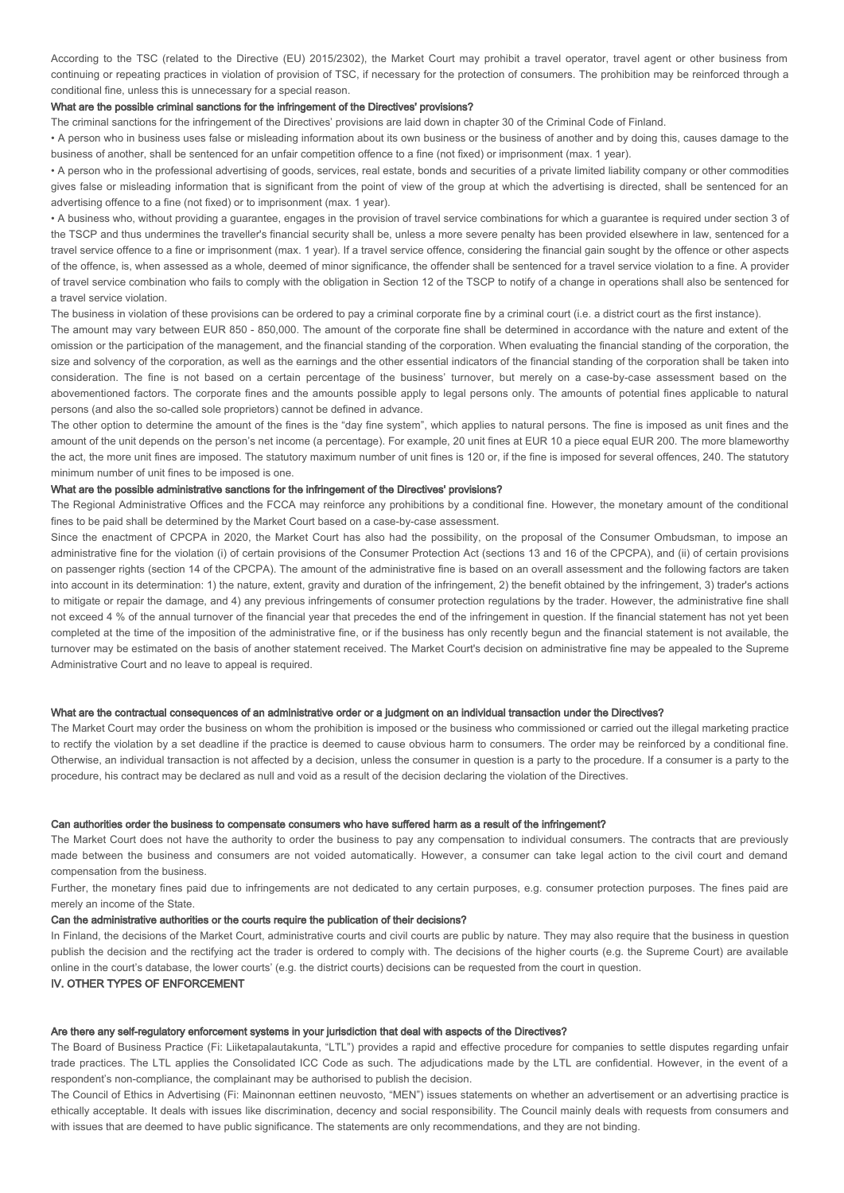According to the TSC (related to the Directive (EU) 2015/2302), the Market Court may prohibit a travel operator, travel agent or other business from continuing or repeating practices in violation of provision of TSC, if necessary for the protection of consumers. The prohibition may be reinforced through a conditional fine, unless this is unnecessary for a special reason.

### What are the possible criminal sanctions for the infringement of the Directives' provisions?

The criminal sanctions for the infringement of the Directives' provisions are laid down in chapter 30 of the Criminal Code of Finland.

• A person who in business uses false or misleading information about its own business or the business of another and by doing this, causes damage to the business of another, shall be sentenced for an unfair competition offence to a fine (not fixed) or imprisonment (max. 1 year).

• A person who in the professional advertising of goods, services, real estate, bonds and securities of a private limited liability company or other commodities gives false or misleading information that is significant from the point of view of the group at which the advertising is directed, shall be sentenced for an advertising offence to a fine (not fixed) or to imprisonment (max. 1 year).

• A business who, without providing a guarantee, engages in the provision of travel service combinations for which a guarantee is required under section 3 of the TSCP and thus undermines the traveller's financial security shall be, unless a more severe penalty has been provided elsewhere in law, sentenced for a travel service offence to a fine or imprisonment (max. 1 year). If a travel service offence, considering the financial gain sought by the offence or other aspects of the offence, is, when assessed as a whole, deemed of minor significance, the offender shall be sentenced for a travel service violation to a fine. A provider of travel service combination who fails to comply with the obligation in Section 12 of the TSCP to notify of a change in operations shall also be sentenced for a travel service violation.

The business in violation of these provisions can be ordered to pay a criminal corporate fine by a criminal court (i.e. a district court as the first instance).

The amount may vary between EUR 850 - 850,000. The amount of the corporate fine shall be determined in accordance with the nature and extent of the omission or the participation of the management, and the financial standing of the corporation. When evaluating the financial standing of the corporation, the size and solvency of the corporation, as well as the earnings and the other essential indicators of the financial standing of the corporation shall be taken into consideration. The fine is not based on a certain percentage of the business' turnover, but merely on a case-by-case assessment based on the abovementioned factors. The corporate fines and the amounts possible apply to legal persons only. The amounts of potential fines applicable to natural persons (and also the so-called sole proprietors) cannot be defined in advance.

The other option to determine the amount of the fines is the "day fine system", which applies to natural persons. The fine is imposed as unit fines and the amount of the unit depends on the person's net income (a percentage). For example, 20 unit fines at EUR 10 a piece equal EUR 200. The more blameworthy the act, the more unit fines are imposed. The statutory maximum number of unit fines is 120 or, if the fine is imposed for several offences, 240. The statutory minimum number of unit fines to be imposed is one.

# What are the possible administrative sanctions for the infringement of the Directives' provisions?

The Regional Administrative Offices and the FCCA may reinforce any prohibitions by a conditional fine. However, the monetary amount of the conditional fines to be paid shall be determined by the Market Court based on a case-by-case assessment.

Since the enactment of CPCPA in 2020, the Market Court has also had the possibility, on the proposal of the Consumer Ombudsman, to impose an administrative fine for the violation (i) of certain provisions of the Consumer Protection Act (sections 13 and 16 of the CPCPA), and (ii) of certain provisions on passenger rights (section 14 of the CPCPA). The amount of the administrative fine is based on an overall assessment and the following factors are taken into account in its determination: 1) the nature, extent, gravity and duration of the infringement, 2) the benefit obtained by the infringement, 3) trader's actions to mitigate or repair the damage, and 4) any previous infringements of consumer protection regulations by the trader. However, the administrative fine shall not exceed 4 % of the annual turnover of the financial year that precedes the end of the infringement in question. If the financial statement has not yet been completed at the time of the imposition of the administrative fine, or if the business has only recently begun and the financial statement is not available, the turnover may be estimated on the basis of another statement received. The Market Court's decision on administrative fine may be appealed to the Supreme Administrative Court and no leave to appeal is required.

#### What are the contractual consequences of an administrative order or a judgment on an individual transaction under the Directives?

The Market Court may order the business on whom the prohibition is imposed or the business who commissioned or carried out the illegal marketing practice to rectify the violation by a set deadline if the practice is deemed to cause obvious harm to consumers. The order may be reinforced by a conditional fine. Otherwise, an individual transaction is not affected by a decision, unless the consumer in question is a party to the procedure. If a consumer is a party to the procedure, his contract may be declared as null and void as a result of the decision declaring the violation of the Directives.

### Can authorities order the business to compensate consumers who have suffered harm as a result of the infringement?

The Market Court does not have the authority to order the business to pay any compensation to individual consumers. The contracts that are previously made between the business and consumers are not voided automatically. However, a consumer can take legal action to the civil court and demand compensation from the business.

Further, the monetary fines paid due to infringements are not dedicated to any certain purposes, e.g. consumer protection purposes. The fines paid are merely an income of the State.

### Can the administrative authorities or the courts require the publication of their decisions?

In Finland, the decisions of the Market Court, administrative courts and civil courts are public by nature. They may also require that the business in question publish the decision and the rectifying act the trader is ordered to comply with. The decisions of the higher courts (e.g. the Supreme Court) are available online in the court's database, the lower courts' (e.g. the district courts) decisions can be requested from the court in question.

# IV. OTHER TYPES OF ENFORCEMENT

# Are there any self-regulatory enforcement systems in your jurisdiction that deal with aspects of the Directives?

The Board of Business Practice (Fi: Liiketapalautakunta, "LTL") provides a rapid and effective procedure for companies to settle disputes regarding unfair trade practices. The LTL applies the Consolidated ICC Code as such. The adjudications made by the LTL are confidential. However, in the event of a respondent's non-compliance, the complainant may be authorised to publish the decision.

The Council of Ethics in Advertising (Fi: Mainonnan eettinen neuvosto, "MEN") issues statements on whether an advertisement or an advertising practice is ethically acceptable. It deals with issues like discrimination, decency and social responsibility. The Council mainly deals with requests from consumers and with issues that are deemed to have public significance. The statements are only recommendations, and they are not binding.